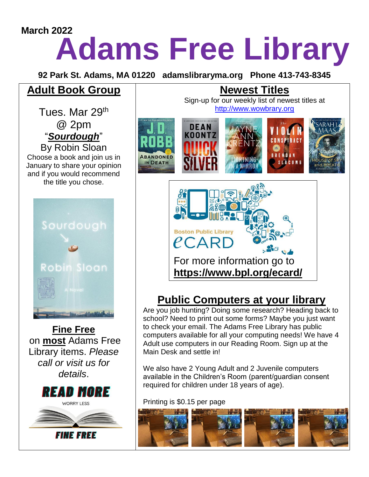# **Adams Free Library March 2022**

**92 Park St. Adams, MA 01220 adamslibraryma.org Phone 413-743-8345**

### **Adult Book Group**

Tues. Mar 29<sup>th</sup> @ 2pm "*Sourdough*" By Robin Sloan Choose a book and join us in January to share your opinion and if you would recommend the title you chose.



**Fine Free** on **most** Adams Free Library items. *Please call or visit us for details*.





## **Public Computers at your library**

Are you job hunting? Doing some research? Heading back to school? Need to print out some forms? Maybe you just want to check your email. The Adams Free Library has public computers available for all your computing needs! We have 4 Adult use computers in our Reading Room. Sign up at the Main Desk and settle in!

We also have 2 Young Adult and 2 Juvenile computers available in the Children's Room (parent/guardian consent required for children under 18 years of age).

#### Printing is \$0.15 per page